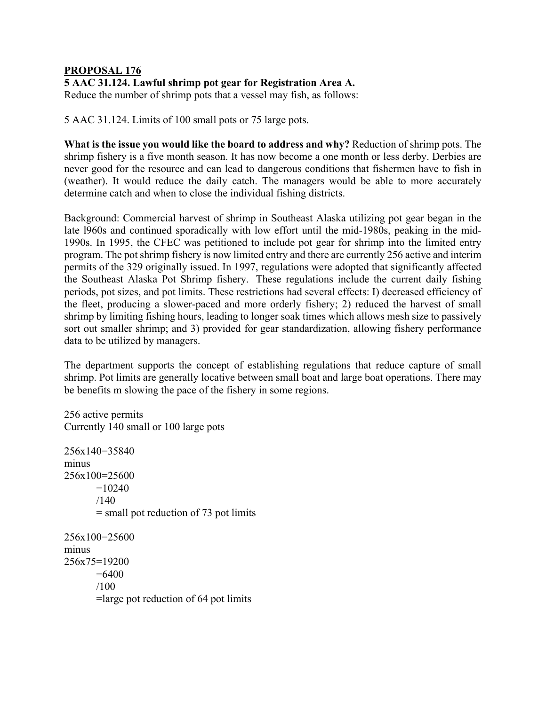## **PROPOSAL 176**

## **5 AAC 31.124. Lawful shrimp pot gear for Registration Area A.**

Reduce the number of shrimp pots that a vessel may fish, as follows:

5 AAC 31.124. Limits of 100 small pots or 75 large pots.

**What is the issue you would like the board to address and why?** Reduction of shrimp pots. The shrimp fishery is a five month season. It has now become a one month or less derby. Derbies are never good for the resource and can lead to dangerous conditions that fishermen have to fish in (weather). It would reduce the daily catch. The managers would be able to more accurately determine catch and when to close the individual fishing districts.

Background: Commercial harvest of shrimp in Southeast Alaska utilizing pot gear began in the late l960s and continued sporadically with low effort until the mid-1980s, peaking in the mid-1990s. In 1995, the CFEC was petitioned to include pot gear for shrimp into the limited entry program. The pot shrimp fishery is now limited entry and there are currently 256 active and interim permits of the 329 originally issued. In 1997, regulations were adopted that significantly affected the Southeast Alaska Pot Shrimp fishery. These regulations include the current daily fishing periods, pot sizes, and pot limits. These restrictions had several effects: I) decreased efficiency of the fleet, producing a slower-paced and more orderly fishery; 2) reduced the harvest of small shrimp by limiting fishing hours, leading to longer soak times which allows mesh size to passively sort out smaller shrimp; and 3) provided for gear standardization, allowing fishery performance data to be utilized by managers.

The department supports the concept of establishing regulations that reduce capture of small shrimp. Pot limits are generally locative between small boat and large boat operations. There may be benefits m slowing the pace of the fishery in some regions.

256 active permits Currently 140 small or 100 large pots

256x140=35840 minus 256x100=25600  $=10240$  $/140$ = small pot reduction of 73 pot limits 256x100=25600 minus 256x75=19200  $=6400$ /100 =large pot reduction of 64 pot limits